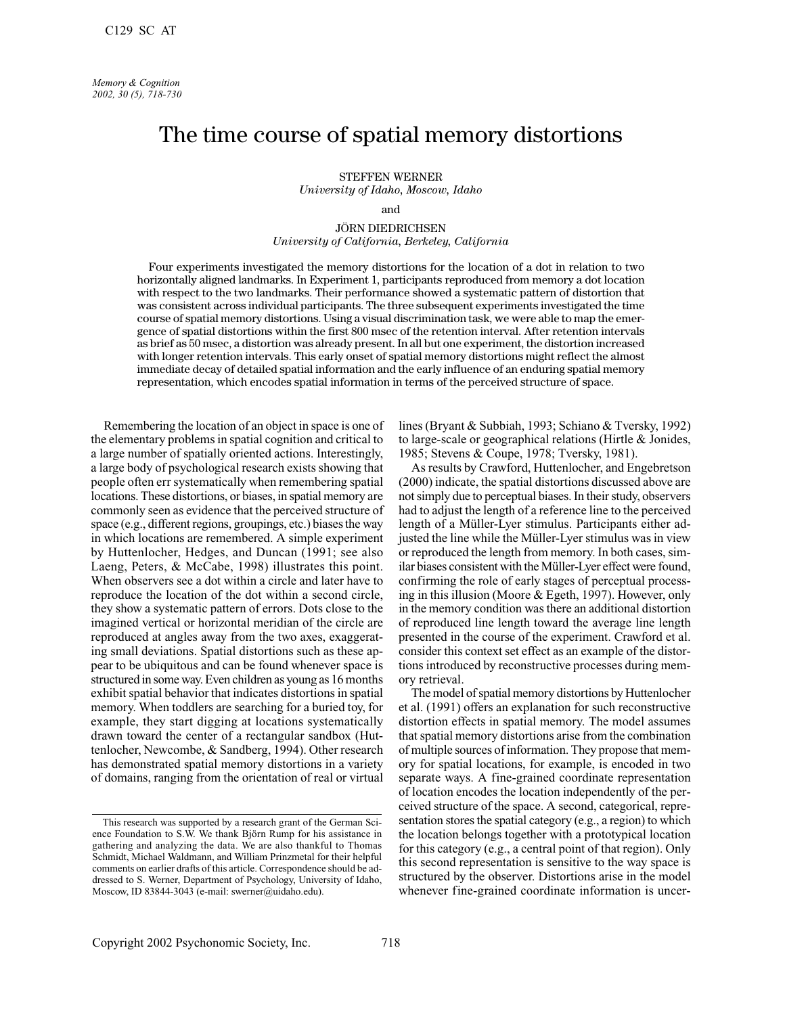*Memory & Cognition 2002, 30 (5), 718-730*

# The time course of spatial memory distortions

STEFFEN WERNER *University of Idaho, Moscow, Idaho*

and

# JÖRN DIEDRICHSEN *University of California, Berkeley, California*

Four experiments investigated the memory distortions for the location of a dot in relation to two horizontally aligned landmarks. In Experiment 1, participants reproduced from memory a dot location with respect to the two landmarks. Their performance showed a systematic pattern of distortion that was consistent across individual participants. The three subsequent experiments investigated the time course of spatial memory distortions. Using a visual discrimination task, we were able to map the emergence of spatial distortions within the first 800 msec of the retention interval. After retention intervals as brief as 50 msec, a distortion was already present. In all but one experiment, the distortion increased with longer retention intervals. This early onset of spatial memory distortions might reflect the almost immediate decay of detailed spatial information and the early influence of an enduring spatial memory representation, which encodes spatial information in terms of the perceived structure of space.

Remembering the location of an object in space is one of the elementary problems in spatial cognition and critical to a large number of spatially oriented actions. Interestingly, a large body of psychological research exists showing that people often err systematically when remembering spatial locations. These distortions, or biases, in spatial memory are commonly seen as evidence that the perceived structure of space (e.g., different regions, groupings, etc.) biases the way in which locations are remembered. A simple experiment by Huttenlocher, Hedges, and Duncan (1991; see also Laeng, Peters, & McCabe, 1998) illustrates this point. When observers see a dot within a circle and later have to reproduce the location of the dot within a second circle, they show a systematic pattern of errors. Dots close to the imagined vertical or horizontal meridian of the circle are reproduced at angles away from the two axes, exaggerating small deviations. Spatial distortions such as these appear to be ubiquitous and can be found whenever space is structured in some way. Even children as young as 16 months exhibit spatial behavior that indicates distortions in spatial memory. When toddlers are searching for a buried toy, for example, they start digging at locations systematically drawn toward the center of a rectangular sandbox (Huttenlocher, Newcombe, & Sandberg, 1994). Other research has demonstrated spatial memory distortions in a variety of domains, ranging from the orientation of real or virtual

lines (Bryant & Subbiah, 1993; Schiano & Tversky, 1992) to large-scale or geographical relations (Hirtle & Jonides, 1985; Stevens & Coupe, 1978; Tversky, 1981).

As results by Crawford, Huttenlocher, and Engebretson (2000) indicate, the spatial distortions discussed above are not simply due to perceptual biases. In their study, observers had to adjust the length of a reference line to the perceived length of a Müller-Lyer stimulus. Participants either adjusted the line while the Müller-Lyer stimulus was in view or reproduced the length from memory. In both cases, similar biases consistent with the Müller-Lyer effect were found, confirming the role of early stages of perceptual processing in this illusion (Moore & Egeth, 1997). However, only in the memory condition was there an additional distortion of reproduced line length toward the average line length presented in the course of the experiment. Crawford et al. consider this context set effect as an example of the distortions introduced by reconstructive processes during memory retrieval.

The model of spatial memory distortions by Huttenlocher et al. (1991) offers an explanation for such reconstructive distortion effects in spatial memory. The model assumes that spatial memory distortions arise from the combination of multiple sources of information. They propose that memory for spatial locations, for example, is encoded in two separate ways. A fine-grained coordinate representation of location encodes the location independently of the perceived structure of the space. A second, categorical, representation stores the spatial category (e.g., a region) to which the location belongs together with a prototypical location for this category (e.g., a central point of that region). Only this second representation is sensitive to the way space is structured by the observer. Distortions arise in the model whenever fine-grained coordinate information is uncer-

This research was supported by a research grant of the German Science Foundation to S.W. We thank Björn Rump for his assistance in gathering and analyzing the data. We are also thankful to Thomas Schmidt, Michael Waldmann, and William Prinzmetal for their helpful comments on earlier drafts of this article. Correspondence should be addressed to S. Werner, Department of Psychology, University of Idaho, Moscow, ID 83844-3043 (e-mail: swerner@uidaho.edu).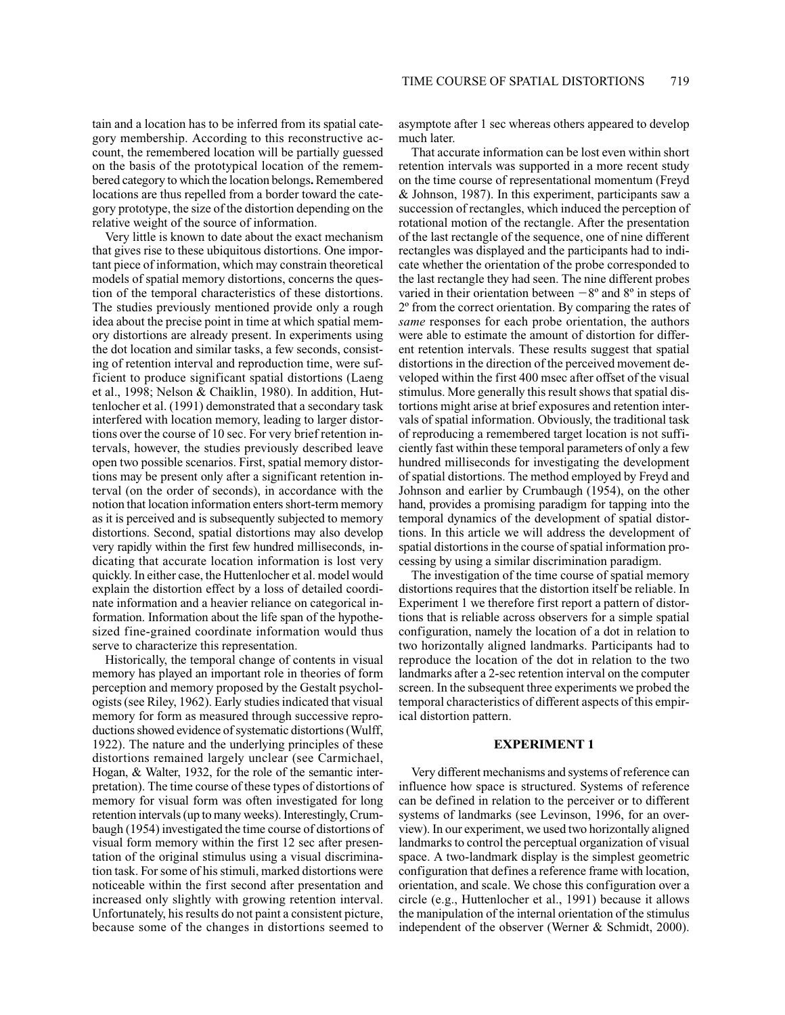tain and a location has to be inferred from its spatial category membership. According to this reconstructive account, the remembered location will be partially guessed on the basis of the prototypical location of the remembered category to which the location belongs**.** Remembered locations are thus repelled from a border toward the category prototype, the size of the distortion depending on the relative weight of the source of information.

Very little is known to date about the exact mechanism that gives rise to these ubiquitous distortions. One important piece of information, which may constrain theoretical models of spatial memory distortions, concerns the question of the temporal characteristics of these distortions. The studies previously mentioned provide only a rough idea about the precise point in time at which spatial memory distortions are already present. In experiments using the dot location and similar tasks, a few seconds, consisting of retention interval and reproduction time, were sufficient to produce significant spatial distortions (Laeng et al., 1998; Nelson & Chaiklin, 1980). In addition, Huttenlocher et al. (1991) demonstrated that a secondary task interfered with location memory, leading to larger distortions over the course of 10 sec. For very brief retention intervals, however, the studies previously described leave open two possible scenarios. First, spatial memory distortions may be present only after a significant retention interval (on the order of seconds), in accordance with the notion that location information enters short-term memory as it is perceived and is subsequently subjected to memory distortions. Second, spatial distortions may also develop very rapidly within the first few hundred milliseconds, indicating that accurate location information is lost very quickly. In either case, the Huttenlocher et al. model would explain the distortion effect by a loss of detailed coordinate information and a heavier reliance on categorical information. Information about the life span of the hypothesized fine-grained coordinate information would thus serve to characterize this representation.

Historically, the temporal change of contents in visual memory has played an important role in theories of form perception and memory proposed by the Gestalt psychologists (see Riley, 1962). Early studies indicated that visual memory for form as measured through successive reproductions showed evidence of systematic distortions (Wulff, 1922). The nature and the underlying principles of these distortions remained largely unclear (see Carmichael, Hogan, & Walter, 1932, for the role of the semantic interpretation). The time course of these types of distortions of memory for visual form was often investigated for long retention intervals (up to many weeks). Interestingly, Crumbaugh (1954) investigated the time course of distortions of visual form memory within the first 12 sec after presentation of the original stimulus using a visual discrimination task. For some of his stimuli, marked distortions were noticeable within the first second after presentation and increased only slightly with growing retention interval. Unfortunately, his results do not paint a consistent picture, because some of the changes in distortions seemed to

asymptote after 1 sec whereas others appeared to develop much later.

That accurate information can be lost even within short retention intervals was supported in a more recent study on the time course of representational momentum (Freyd & Johnson, 1987). In this experiment, participants saw a succession of rectangles, which induced the perception of rotational motion of the rectangle. After the presentation of the last rectangle of the sequence, one of nine different rectangles was displayed and the participants had to indicate whether the orientation of the probe corresponded to the last rectangle they had seen. The nine different probes varied in their orientation between  $-8^\circ$  and  $8^\circ$  in steps of 2º from the correct orientation. By comparing the rates of *same* responses for each probe orientation, the authors were able to estimate the amount of distortion for different retention intervals. These results suggest that spatial distortions in the direction of the perceived movement developed within the first 400 msec after offset of the visual stimulus. More generally this result shows that spatial distortions might arise at brief exposures and retention intervals of spatial information. Obviously, the traditional task of reproducing a remembered target location is not sufficiently fast within these temporal parameters of only a few hundred milliseconds for investigating the development of spatial distortions. The method employed by Freyd and Johnson and earlier by Crumbaugh (1954), on the other hand, provides a promising paradigm for tapping into the temporal dynamics of the development of spatial distortions. In this article we will address the development of spatial distortions in the course of spatial information processing by using a similar discrimination paradigm.

The investigation of the time course of spatial memory distortions requires that the distortion itself be reliable. In Experiment 1 we therefore first report a pattern of distortions that is reliable across observers for a simple spatial configuration, namely the location of a dot in relation to two horizontally aligned landmarks. Participants had to reproduce the location of the dot in relation to the two landmarks after a 2-sec retention interval on the computer screen. In the subsequent three experiments we probed the temporal characteristics of different aspects of this empirical distortion pattern.

#### **EXPERIMENT 1**

Very different mechanisms and systems of reference can influence how space is structured. Systems of reference can be defined in relation to the perceiver or to different systems of landmarks (see Levinson, 1996, for an overview). In our experiment, we used two horizontally aligned landmarks to control the perceptual organization of visual space. A two-landmark display is the simplest geometric configuration that defines a reference frame with location, orientation, and scale. We chose this configuration over a circle (e.g., Huttenlocher et al., 1991) because it allows the manipulation of the internal orientation of the stimulus independent of the observer (Werner & Schmidt, 2000).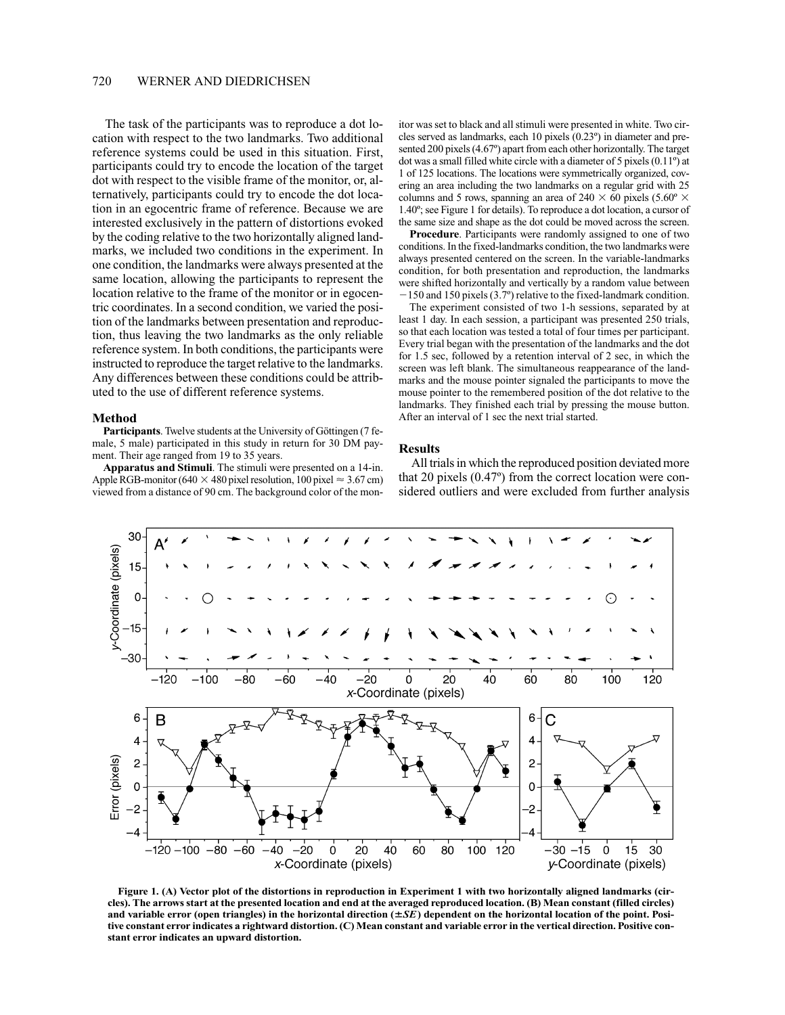# 720 WERNER AND DIEDRICHSEN

The task of the participants was to reproduce a dot location with respect to the two landmarks. Two additional reference systems could be used in this situation. First, participants could try to encode the location of the target dot with respect to the visible frame of the monitor, or, alternatively, participants could try to encode the dot location in an egocentric frame of reference. Because we are interested exclusively in the pattern of distortions evoked by the coding relative to the two horizontally aligned landmarks, we included two conditions in the experiment. In one condition, the landmarks were always presented at the same location, allowing the participants to represent the location relative to the frame of the monitor or in egocentric coordinates. In a second condition, we varied the position of the landmarks between presentation and reproduction, thus leaving the two landmarks as the only reliable reference system. In both conditions, the participants were instructed to reproduce the target relative to the landmarks. Any differences between these conditions could be attributed to the use of different reference systems.

## **Method**

**Participants**. Twelve students at the University of Göttingen (7 female, 5 male) participated in this study in return for 30 DM payment. Their age ranged from 19 to 35 years.

**Apparatus and Stimuli**. The stimuli were presented on a 14-in. Apple RGB-monitor (640  $\times$  480 pixel resolution, 100 pixel  $\approx$  3.67 cm) viewed from a distance of 90 cm. The background color of the monitor was set to black and all stimuli were presented in white. Two circles served as landmarks, each 10 pixels (0.23º) in diameter and presented 200 pixels (4.67º) apart from each other horizontally. The target dot was a small filled white circle with a diameter of 5 pixels (0.11º) at 1 of 125 locations. The locations were symmetrically organized, covering an area including the two landmarks on a regular grid with 25 columns and 5 rows, spanning an area of 240  $\times$  60 pixels (5.60°  $\times$ 1.40º; see Figure 1 for details). To reproduce a dot location, a cursor of the same size and shape as the dot could be moved across the screen.

**Procedure**. Participants were randomly assigned to one of two conditions. In the fixed-landmarks condition, the two landmarks were always presented centered on the screen. In the variable-landmarks condition, for both presentation and reproduction, the landmarks were shifted horizontally and vertically by a random value between  $-150$  and 150 pixels (3.7°) relative to the fixed-landmark condition.

The experiment consisted of two 1-h sessions, separated by at least 1 day. In each session, a participant was presented 250 trials, so that each location was tested a total of four times per participant. Every trial began with the presentation of the landmarks and the dot for 1.5 sec, followed by a retention interval of 2 sec, in which the screen was left blank. The simultaneous reappearance of the landmarks and the mouse pointer signaled the participants to move the mouse pointer to the remembered position of the dot relative to the landmarks. They finished each trial by pressing the mouse button. After an interval of 1 sec the next trial started.

#### **Results**

All trials in which the reproduced position deviated more that 20 pixels (0.47º) from the correct location were considered outliers and were excluded from further analysis



**Figure 1. (A) Vector plot of the distortions in reproduction in Experiment 1 with two horizontally aligned landmarks (circles). The arrows start at the presented location and end at the averaged reproduced location. (B) Mean constant (filled circles)** and variable error (open triangles) in the horizontal direction  $(\pm SE)$  dependent on the horizontal location of the point. Posi**tive constant error indicates a rightward distortion. (C) Mean constant and variable error in the vertical direction. Positive constant error indicates an upward distortion.**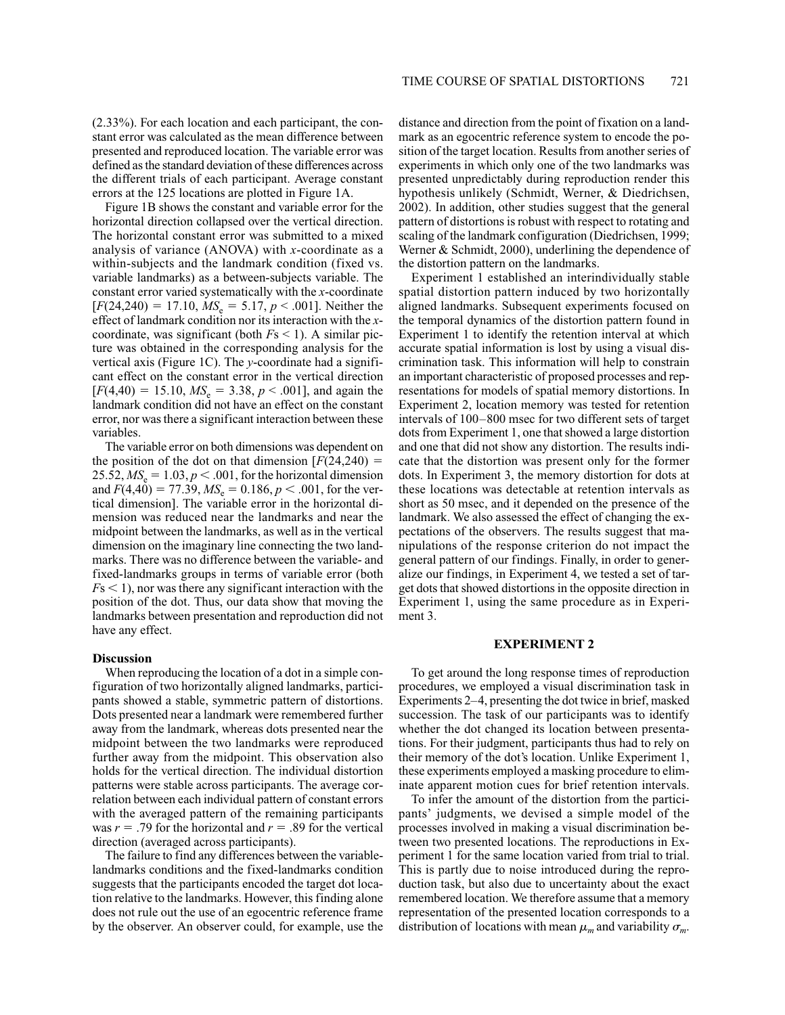(2.33%). For each location and each participant, the constant error was calculated as the mean difference between presented and reproduced location. The variable error was defined as the standard deviation of these differences across the different trials of each participant. Average constant errors at the 125 locations are plotted in Figure 1A.

Figure 1B shows the constant and variable error for the horizontal direction collapsed over the vertical direction. The horizontal constant error was submitted to a mixed analysis of variance (ANOVA) with *x*-coordinate as a within-subjects and the landmark condition (fixed vs. variable landmarks) as a between-subjects variable. The constant error varied systematically with the *x*-coordinate  $[F(24,240) = 17.10, M_s = 5.17, p < .001]$ . Neither the effect of landmark condition nor its interaction with the *x*coordinate, was significant (both  $F_s < 1$ ). A similar picture was obtained in the corresponding analysis for the vertical axis (Figure 1C). The *y*-coordinate had a significant effect on the constant error in the vertical direction  $[F(4,40) = 15.10, M_s = 3.38, p < .001]$ , and again the landmark condition did not have an effect on the constant error, nor was there a significant interaction between these variables.

The variable error on both dimensions was dependent on the position of the dot on that dimension  $[F(24,240) =$ 25.52,  $MS_e = 1.03$ ,  $p < .001$ , for the horizontal dimension and  $F(4,40) = 77.39$ ,  $MS_e = 0.186$ ,  $p < .001$ , for the vertical dimension]. The variable error in the horizontal dimension was reduced near the landmarks and near the midpoint between the landmarks, as well as in the vertical dimension on the imaginary line connecting the two landmarks. There was no difference between the variable- and fixed-landmarks groups in terms of variable error (both  $F_s$   $<$  1), nor was there any significant interaction with the position of the dot. Thus, our data show that moving the landmarks between presentation and reproduction did not have any effect.

#### **Discussion**

When reproducing the location of a dot in a simple configuration of two horizontally aligned landmarks, participants showed a stable, symmetric pattern of distortions. Dots presented near a landmark were remembered further away from the landmark, whereas dots presented near the midpoint between the two landmarks were reproduced further away from the midpoint. This observation also holds for the vertical direction. The individual distortion patterns were stable across participants. The average correlation between each individual pattern of constant errors with the averaged pattern of the remaining participants was  $r = .79$  for the horizontal and  $r = .89$  for the vertical direction (averaged across participants).

The failure to find any differences between the variablelandmarks conditions and the fixed-landmarks condition suggests that the participants encoded the target dot location relative to the landmarks. However, this finding alone does not rule out the use of an egocentric reference frame by the observer. An observer could, for example, use the

distance and direction from the point of fixation on a landmark as an egocentric reference system to encode the position of the target location. Results from another series of experiments in which only one of the two landmarks was presented unpredictably during reproduction render this hypothesis unlikely (Schmidt, Werner, & Diedrichsen, 2002). In addition, other studies suggest that the general pattern of distortions is robust with respect to rotating and scaling of the landmark configuration (Diedrichsen, 1999; Werner & Schmidt, 2000), underlining the dependence of the distortion pattern on the landmarks.

Experiment 1 established an interindividually stable spatial distortion pattern induced by two horizontally aligned landmarks. Subsequent experiments focused on the temporal dynamics of the distortion pattern found in Experiment 1 to identify the retention interval at which accurate spatial information is lost by using a visual discrimination task. This information will help to constrain an important characteristic of proposed processes and representations for models of spatial memory distortions. In Experiment 2, location memory was tested for retention intervals of 100–800 msec for two different sets of target dots from Experiment 1, one that showed a large distortion and one that did not show any distortion. The results indicate that the distortion was present only for the former dots. In Experiment 3, the memory distortion for dots at these locations was detectable at retention intervals as short as 50 msec, and it depended on the presence of the landmark. We also assessed the effect of changing the expectations of the observers. The results suggest that manipulations of the response criterion do not impact the general pattern of our findings. Finally, in order to generalize our findings, in Experiment 4, we tested a set of target dots that showed distortions in the opposite direction in Experiment 1, using the same procedure as in Experiment 3.

# **EXPERIMENT 2**

To get around the long response times of reproduction procedures, we employed a visual discrimination task in Experiments 2–4, presenting the dot twice in brief, masked succession. The task of our participants was to identify whether the dot changed its location between presentations. For their judgment, participants thus had to rely on their memory of the dot's location. Unlike Experiment 1, these experiments employed a masking procedure to eliminate apparent motion cues for brief retention intervals.

To infer the amount of the distortion from the participants' judgments, we devised a simple model of the processes involved in making a visual discrimination between two presented locations. The reproductions in Experiment 1 for the same location varied from trial to trial. This is partly due to noise introduced during the reproduction task, but also due to uncertainty about the exact remembered location. We therefore assume that a memory representation of the presented location corresponds to a distribution of locations with mean  $\mu_m$  and variability  $\sigma_m$ .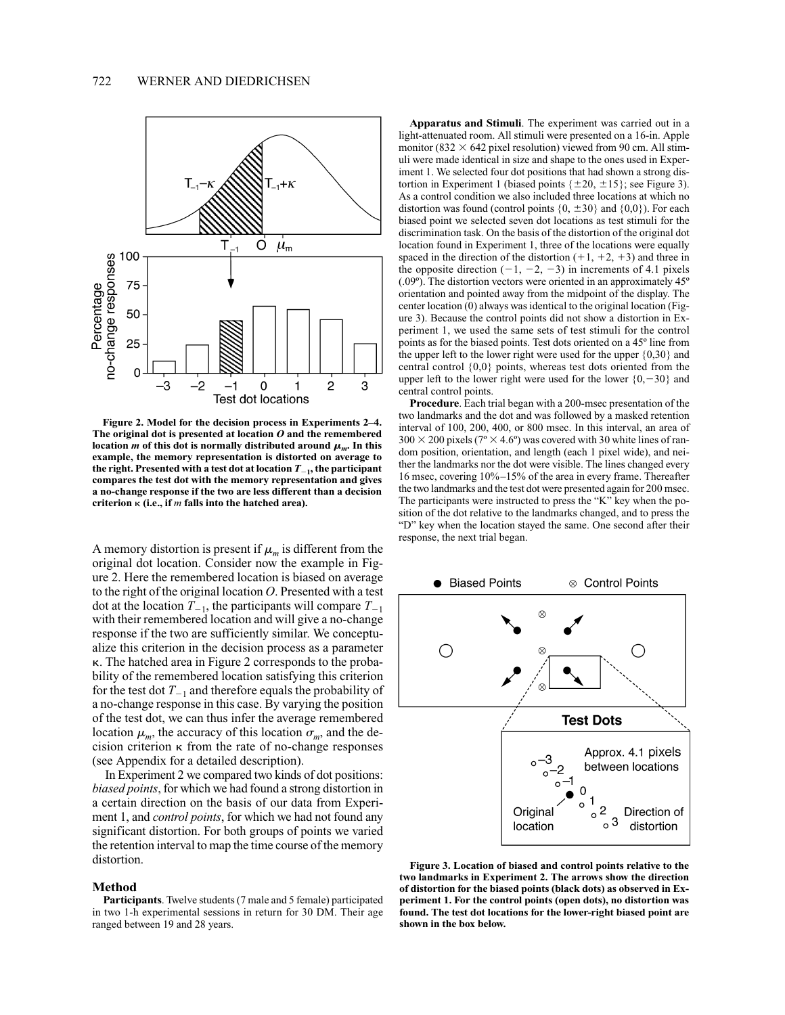

**Figure 2. Model for the decision process in Experiments 2–4. The original dot is presented at location** *O* **and the remembered** location  $m$  of this dot is normally distributed around  $\mu_m$ . In this **example, the memory representation is distorted on average to** the right. Presented with a test dot at location  $T_{-1}$ , the participant **compares the test dot with the memory representation and gives a no-change response if the two are less different than a decision criterion**  $\kappa$  (i.e., if *m* falls into the hatched area).

A memory distortion is present if  $\mu_m$  is different from the original dot location. Consider now the example in Figure 2. Here the remembered location is biased on average to the right of the original location *O*. Presented with a test dot at the location  $T_{-1}$ , the participants will compare  $T_{-1}$ with their remembered location and will give a no-change response if the two are sufficiently similar. We conceptualize this criterion in the decision process as a parameter . The hatched area in Figure 2 corresponds to the probability of the remembered location satisfying this criterion for the test dot  $T_{-1}$  and therefore equals the probability of a no-change response in this case. By varying the position of the test dot, we can thus infer the average remembered location  $\mu_m$ , the accuracy of this location  $\sigma_m$ , and the decision criterion  $\kappa$  from the rate of no-change responses (see Appendix for a detailed description).

In Experiment 2 we compared two kinds of dot positions: *biased points*, for which we had found a strong distortion in a certain direction on the basis of our data from Experiment 1, and *control points*, for which we had not found any significant distortion. For both groups of points we varied the retention interval to map the time course of the memory distortion.

#### **Method**

**Participants**. Twelve students (7 male and 5 female) participated in two 1-h experimental sessions in return for 30 DM. Their age ranged between 19 and 28 years.

**Apparatus and Stimuli**. The experiment was carried out in a light-attenuated room. All stimuli were presented on a 16-in. Apple monitor (832  $\times$  642 pixel resolution) viewed from 90 cm. All stimuli were made identical in size and shape to the ones used in Experiment 1. We selected four dot positions that had shown a strong distortion in Experiment 1 (biased points  $\{\pm 20, \pm 15\}$ ; see Figure 3). As a control condition we also included three locations at which no distortion was found (control points  $\{0, \pm 30\}$  and  $\{0,0\}$ ). For each biased point we selected seven dot locations as test stimuli for the discrimination task. On the basis of the distortion of the original dot location found in Experiment 1, three of the locations were equally spaced in the direction of the distortion  $(+1, +2, +3)$  and three in the opposite direction  $(-1, -2, -3)$  in increments of 4.1 pixels (.09º). The distortion vectors were oriented in an approximately 45º orientation and pointed away from the midpoint of the display. The center location (0) always was identical to the original location (Figure 3). Because the control points did not show a distortion in Experiment 1, we used the same sets of test stimuli for the control points as for the biased points. Test dots oriented on a 45º line from the upper left to the lower right were used for the upper  $\{0,30\}$  and central control {0,0} points, whereas test dots oriented from the upper left to the lower right were used for the lower  $\{0, -30\}$  and central control points.

**Procedure**. Each trial began with a 200-msec presentation of the two landmarks and the dot and was followed by a masked retention interval of 100, 200, 400, or 800 msec. In this interval, an area of  $300 \times 200$  pixels (7°  $\times$  4.6°) was covered with 30 white lines of random position, orientation, and length (each 1 pixel wide), and neither the landmarks nor the dot were visible. The lines changed every 16 msec, covering 10%–15% of the area in every frame. Thereafter the two landmarks and the test dot were presented again for 200 msec. The participants were instructed to press the "K" key when the position of the dot relative to the landmarks changed, and to press the "D" key when the location stayed the same. One second after their response, the next trial began.



**Figure 3. Location of biased and control points relative to the two landmarks in Experiment 2. The arrows show the direction of distortion for the biased points (black dots) as observed in Experiment 1. For the control points (open dots), no distortion was found. The test dot locations for the lower-right biased point are shown in the box below.**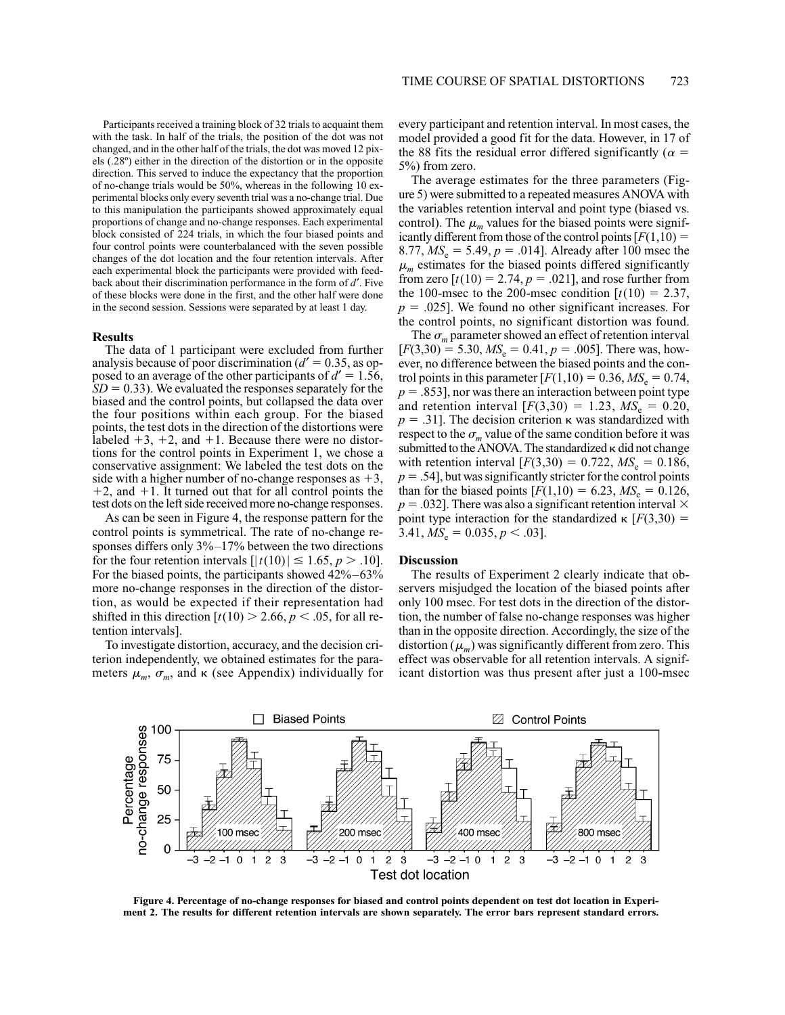Participants received a training block of 32 trials to acquaint them with the task. In half of the trials, the position of the dot was not changed, and in the other half of the trials, the dot was moved 12 pixels (.28º) either in the direction of the distortion or in the opposite direction. This served to induce the expectancy that the proportion of no-change trials would be 50%, whereas in the following 10 experimental blocks only every seventh trial was a no-change trial. Due to this manipulation the participants showed approximately equal proportions of change and no-change responses. Each experimental block consisted of 224 trials, in which the four biased points and four control points were counterbalanced with the seven possible changes of the dot location and the four retention intervals. After each experimental block the participants were provided with feedback about their discrimination performance in the form of *d*′. Five of these blocks were done in the first, and the other half were done in the second session. Sessions were separated by at least 1 day.

# **Results**

The data of 1 participant were excluded from further analysis because of poor discrimination  $(d' = 0.35$ , as opposed to an average of the other participants of  $d' = 1.56$ ,  $SD = 0.33$ ). We evaluated the responses separately for the biased and the control points, but collapsed the data over the four positions within each group. For the biased points, the test dots in the direction of the distortions were labeled  $+3$ ,  $+2$ , and  $+1$ . Because there were no distortions for the control points in Experiment 1, we chose a conservative assignment: We labeled the test dots on the side with a higher number of no-change responses as  $+3$ ,  $+2$ , and  $+1$ . It turned out that for all control points the test dots on the left side received more no-change responses.

As can be seen in Figure 4, the response pattern for the control points is symmetrical. The rate of no-change responses differs only 3%–17% between the two directions for the four retention intervals  $[|t(10)| \le 1.65, p > .10]$ . For the biased points, the participants showed 42%–63% more no-change responses in the direction of the distortion, as would be expected if their representation had shifted in this direction  $[t(10) > 2.66, p < .05$ , for all retention intervals].

To investigate distortion, accuracy, and the decision criterion independently, we obtained estimates for the parameters  $\mu_m$ ,  $\sigma_m$ , and  $\kappa$  (see Appendix) individually for every participant and retention interval. In most cases, the model provided a good fit for the data. However, in 17 of the 88 fits the residual error differed significantly ( $\alpha$  = 5%) from zero.

The average estimates for the three parameters (Figure 5) were submitted to a repeated measures ANOVA with the variables retention interval and point type (biased vs. control). The  $\mu_m$  values for the biased points were significantly different from those of the control points  $[F(1,10) =$ 8.77,  $MS_e = 5.49$ ,  $p = .014$ ]. Already after 100 msec the  $\mu_m$  estimates for the biased points differed significantly from zero  $[t(10) = 2.74, p = .021]$ , and rose further from the 100-msec to the 200-msec condition  $[t(10) = 2.37]$ ,  $p = .025$ ]. We found no other significant increases. For the control points, no significant distortion was found.

The  $\sigma_m$  parameter showed an effect of retention interval  $[F(3,30) = 5.30, MS_e = 0.41, p = .005]$ . There was, however, no difference between the biased points and the control points in this parameter  $[F(1,10) = 0.36, MS_e = 0.74,$  $p = .853$ , nor was there an interaction between point type and retention interval  $[F(3,30) = 1.23, MS_e = 0.20,$  $p = .31$ ]. The decision criterion  $\kappa$  was standardized with respect to the  $\sigma_m$  value of the same condition before it was submitted to the ANOVA. The standardized  $\kappa$  did not change with retention interval  $[F(3,30) = 0.722, MS_e = 0.186,$  $p = .54$ ], but was significantly stricter for the control points than for the biased points  $[F(1,10) = 6.23, MS_e = 0.126,$  $p = .032$ . There was also a significant retention interval  $\times$ point type interaction for the standardized  $\kappa$  [ $F(3,30)$  =  $3.41, MS_e = 0.035, p < .03$ .

## **Discussion**

The results of Experiment 2 clearly indicate that observers misjudged the location of the biased points after only 100 msec. For test dots in the direction of the distortion, the number of false no-change responses was higher than in the opposite direction. Accordingly, the size of the distortion  $(\mu_m)$  was significantly different from zero. This effect was observable for all retention intervals. A significant distortion was thus present after just a 100-msec



**Figure 4. Percentage of no-change responses for biased and control points dependent on test dot location in Experiment 2. The results for different retention intervals are shown separately. The error bars represent standard errors.**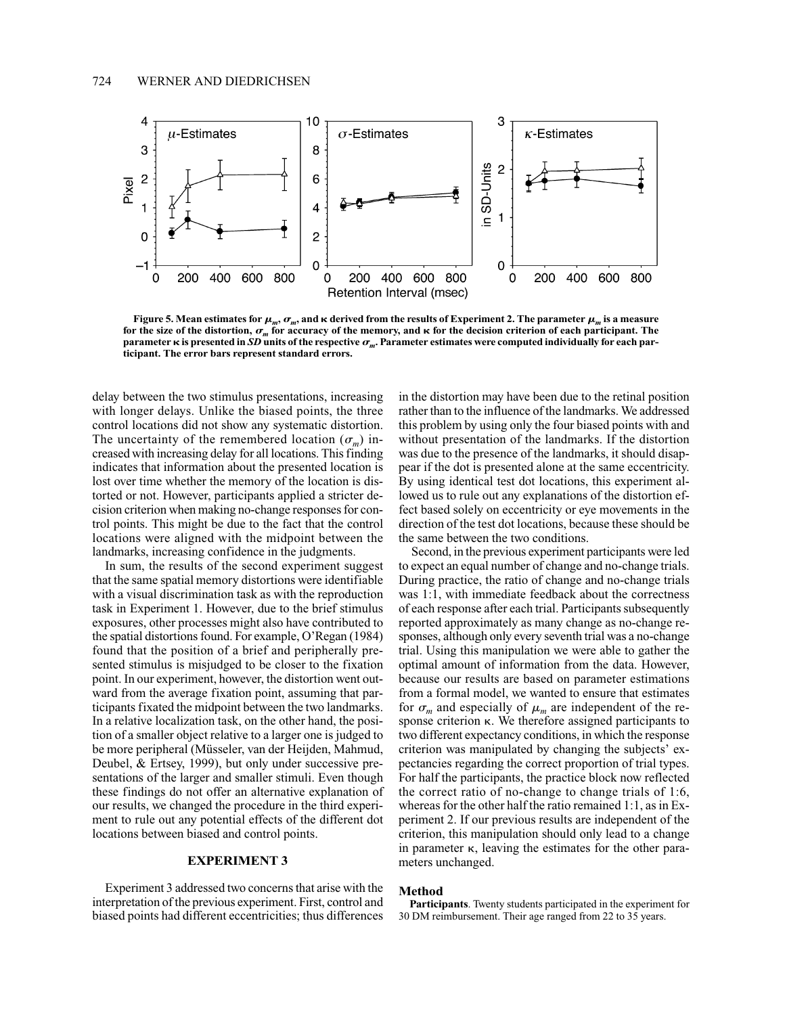

Figure 5. Mean estimates for  $\mu_m, \sigma_m,$  and  $\kappa$  derived from the results of Experiment 2. The parameter  $\mu_m$  is a measure for the size of the distortion,  $\sigma_m$  for accuracy of the memory, and  $\kappa$  for the decision criterion of each participant. The **parameter is presented in** *SD* **units of the respective** *m***. Parameter estimates were computed individually for each participant. The error bars represent standard errors.**

delay between the two stimulus presentations, increasing with longer delays. Unlike the biased points, the three control locations did not show any systematic distortion. The uncertainty of the remembered location  $(\sigma_m)$  increased with increasing delay for all locations. This finding indicates that information about the presented location is lost over time whether the memory of the location is distorted or not. However, participants applied a stricter decision criterion when making no-change responses for control points. This might be due to the fact that the control locations were aligned with the midpoint between the landmarks, increasing confidence in the judgments.

In sum, the results of the second experiment suggest that the same spatial memory distortions were identifiable with a visual discrimination task as with the reproduction task in Experiment 1. However, due to the brief stimulus exposures, other processes might also have contributed to the spatial distortions found. For example, O'Regan (1984) found that the position of a brief and peripherally presented stimulus is misjudged to be closer to the fixation point. In our experiment, however, the distortion went outward from the average fixation point, assuming that participants fixated the midpoint between the two landmarks. In a relative localization task, on the other hand, the position of a smaller object relative to a larger one is judged to be more peripheral (Müsseler, van der Heijden, Mahmud, Deubel, & Ertsey, 1999), but only under successive presentations of the larger and smaller stimuli. Even though these findings do not offer an alternative explanation of our results, we changed the procedure in the third experiment to rule out any potential effects of the different dot locations between biased and control points.

# **EXPERIMENT 3**

Experiment 3 addressed two concerns that arise with the interpretation of the previous experiment. First, control and biased points had different eccentricities; thus differences in the distortion may have been due to the retinal position rather than to the influence of the landmarks. We addressed this problem by using only the four biased points with and without presentation of the landmarks. If the distortion was due to the presence of the landmarks, it should disappear if the dot is presented alone at the same eccentricity. By using identical test dot locations, this experiment allowed us to rule out any explanations of the distortion effect based solely on eccentricity or eye movements in the direction of the test dot locations, because these should be the same between the two conditions.

Second, in the previous experiment participants were led to expect an equal number of change and no-change trials. During practice, the ratio of change and no-change trials was 1:1, with immediate feedback about the correctness of each response after each trial. Participants subsequently reported approximately as many change as no-change responses, although only every seventh trial was a no-change trial. Using this manipulation we were able to gather the optimal amount of information from the data. However, because our results are based on parameter estimations from a formal model, we wanted to ensure that estimates for  $\sigma_m$  and especially of  $\mu_m$  are independent of the response criterion  $\kappa$ . We therefore assigned participants to two different expectancy conditions, in which the response criterion was manipulated by changing the subjects' expectancies regarding the correct proportion of trial types. For half the participants, the practice block now reflected the correct ratio of no-change to change trials of 1:6, whereas for the other half the ratio remained 1:1, as in Experiment 2. If our previous results are independent of the criterion, this manipulation should only lead to a change in parameter  $\kappa$ , leaving the estimates for the other parameters unchanged.

#### **Method**

**Participants**. Twenty students participated in the experiment for 30 DM reimbursement. Their age ranged from 22 to 35 years.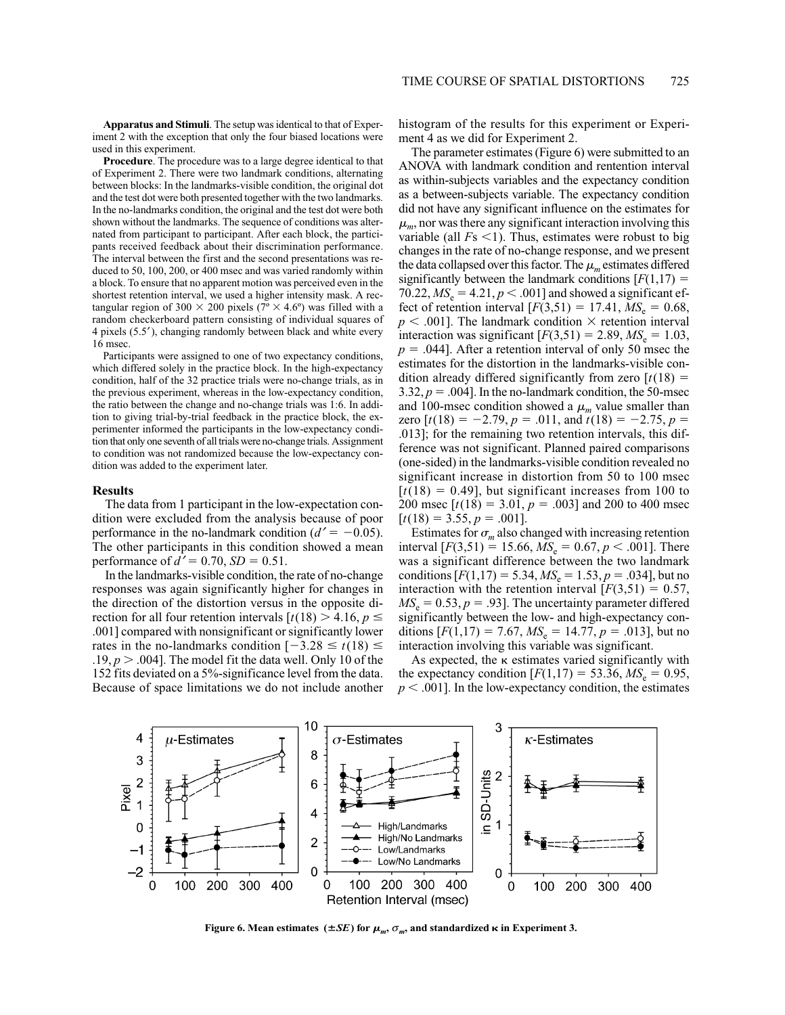**Apparatus and Stimuli**. The setup was identical to that of Experiment 2 with the exception that only the four biased locations were used in this experiment.

**Procedure**. The procedure was to a large degree identical to that of Experiment 2. There were two landmark conditions, alternating between blocks: In the landmarks-visible condition, the original dot and the test dot were both presented together with the two landmarks. In the no-landmarks condition, the original and the test dot were both shown without the landmarks. The sequence of conditions was alternated from participant to participant. After each block, the participants received feedback about their discrimination performance. The interval between the first and the second presentations was reduced to 50, 100, 200, or 400 msec and was varied randomly within a block. To ensure that no apparent motion was perceived even in the shortest retention interval, we used a higher intensity mask. A rectangular region of 300  $\times$  200 pixels (7°  $\times$  4.6°) was filled with a random checkerboard pattern consisting of individual squares of 4 pixels (5.5′), changing randomly between black and white every 16 msec.

Participants were assigned to one of two expectancy conditions, which differed solely in the practice block. In the high-expectancy condition, half of the 32 practice trials were no-change trials, as in the previous experiment, whereas in the low-expectancy condition, the ratio between the change and no-change trials was 1:6. In addition to giving trial-by-trial feedback in the practice block, the experimenter informed the participants in the low-expectancy condition that only one seventh of all trials were no-change trials. Assignment to condition was not randomized because the low-expectancy condition was added to the experiment later.

#### **Results**

The data from 1 participant in the low-expectation condition were excluded from the analysis because of poor performance in the no-landmark condition  $(d' = -0.05)$ . The other participants in this condition showed a mean performance of  $d' = 0.70$ ,  $SD = 0.51$ .

In the landmarks-visible condition, the rate of no-change responses was again significantly higher for changes in the direction of the distortion versus in the opposite direction for all four retention intervals  $[t(18) > 4.16, p \le$ .001] compared with nonsignificant or significantly lower rates in the no-landmarks condition  $[-3.28 \le t(18) \le$ .19,  $p > .004$ . The model fit the data well. Only 10 of the 152 fits deviated on a 5%-significance level from the data. Because of space limitations we do not include another histogram of the results for this experiment or Experiment 4 as we did for Experiment 2.

The parameter estimates (Figure 6) were submitted to an ANOVA with landmark condition and rentention interval as within-subjects variables and the expectancy condition as a between-subjects variable. The expectancy condition did not have any significant influence on the estimates for  $\mu_{m}$ , nor was there any significant interaction involving this variable (all  $Fs \le 1$ ). Thus, estimates were robust to big changes in the rate of no-change response, and we present the data collapsed over this factor. The  $\mu_m$  estimates differed significantly between the landmark conditions  $[F(1,17)] =$ 70.22,  $MS_e = 4.21$ ,  $p < .001$ ] and showed a significant effect of retention interval  $[F(3,51) = 17.41, M_s = 0.68,$  $p < .001$ ]. The landmark condition  $\times$  retention interval interaction was significant  $[F(3,51) = 2.89, MS_e = 1.03,$  $p = .044$ . After a retention interval of only 50 msec the estimates for the distortion in the landmarks-visible condition already differed significantly from zero  $\lceil t(18) \rceil$ 3.32,  $p = .004$ . In the no-landmark condition, the 50-msec and 100-msec condition showed a  $\mu_m$  value smaller than zero  $[t(18) = -2.79, p = .011,$  and  $t(18) = -2.75, p =$ .013]; for the remaining two retention intervals, this difference was not significant. Planned paired comparisons (one-sided) in the landmarks-visible condition revealed no significant increase in distortion from 50 to 100 msec  $[t(18) = 0.49]$ , but significant increases from 100 to 200 msec  $[t(18) = 3.01, p = .003]$  and 200 to 400 msec  $[t(18) = 3.55, p = .001].$ 

Estimates for  $\sigma_m$  also changed with increasing retention interval  $[F(3,51) = 15.66, MS_e = 0.67, p < .001]$ . There was a significant difference between the two landmark conditions  $[F(1,17) = 5.34, MS_e = 1.53, p = .034]$ , but no interaction with the retention interval  $[F(3,51) = 0.57,$  $MS_e = 0.53$ ,  $p = .93$ . The uncertainty parameter differed significantly between the low- and high-expectancy conditions  $[F(1,17) = 7.67, MS_e = 14.77, p = .013]$ , but no interaction involving this variable was significant.

As expected, the  $\kappa$  estimates varied significantly with the expectancy condition  $[F(1,17) = 53.36, MS_e = 0.95,$  $p < .001$ . In the low-expectancy condition, the estimates



**Figure 6. Mean estimates** ( $\pm SE$ ) for  $\mu_m$ ,  $\sigma_m$ , and standardized  $\kappa$  in Experiment 3.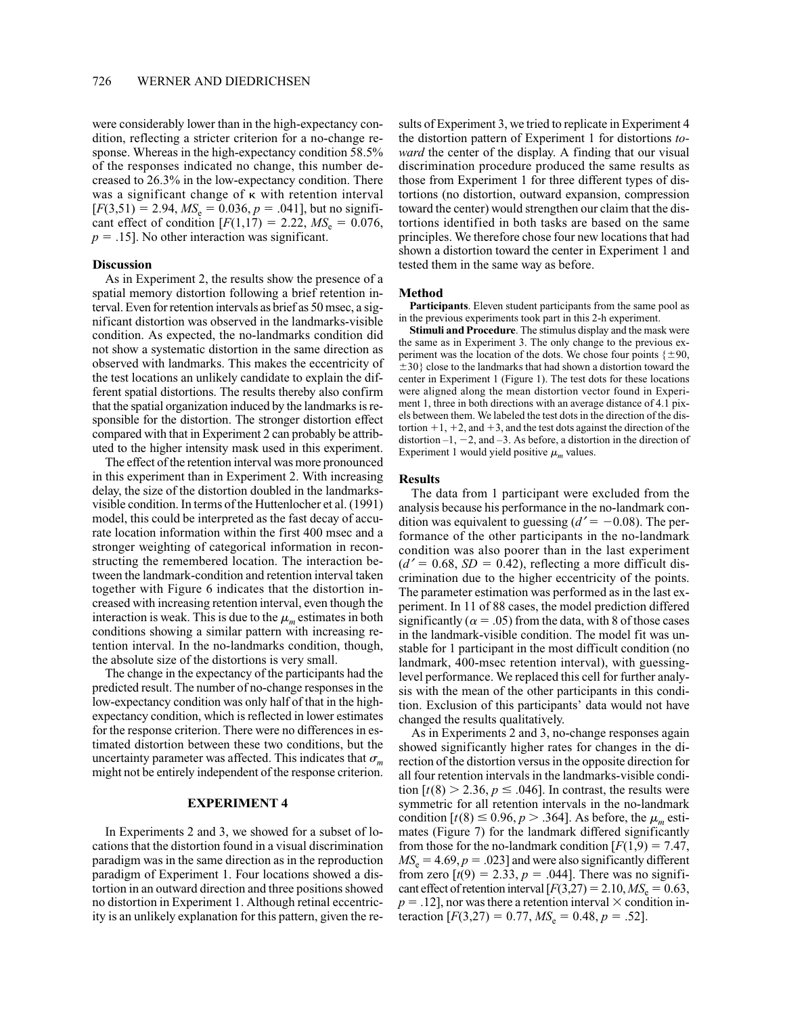were considerably lower than in the high-expectancy condition, reflecting a stricter criterion for a no-change response. Whereas in the high-expectancy condition 58.5% of the responses indicated no change, this number decreased to 26.3% in the low-expectancy condition. There was a significant change of  $\kappa$  with retention interval  $[F(3,51) = 2.94, MS_e = 0.036, p = .041]$ , but no significant effect of condition  $[F(1,17) = 2.22, MS_e = 0.076,$  $p = .15$ ]. No other interaction was significant.

#### **Discussion**

As in Experiment 2, the results show the presence of a spatial memory distortion following a brief retention interval. Even for retention intervals as brief as 50 msec, a significant distortion was observed in the landmarks-visible condition. As expected, the no-landmarks condition did not show a systematic distortion in the same direction as observed with landmarks. This makes the eccentricity of the test locations an unlikely candidate to explain the different spatial distortions. The results thereby also confirm that the spatial organization induced by the landmarks is responsible for the distortion. The stronger distortion effect compared with that in Experiment 2 can probably be attributed to the higher intensity mask used in this experiment.

The effect of the retention interval was more pronounced in this experiment than in Experiment 2. With increasing delay, the size of the distortion doubled in the landmarksvisible condition. In terms of the Huttenlocher et al. (1991) model, this could be interpreted as the fast decay of accurate location information within the first 400 msec and a stronger weighting of categorical information in reconstructing the remembered location. The interaction between the landmark-condition and retention interval taken together with Figure 6 indicates that the distortion increased with increasing retention interval, even though the interaction is weak. This is due to the  $\mu_m$  estimates in both conditions showing a similar pattern with increasing retention interval. In the no-landmarks condition, though, the absolute size of the distortions is very small.

The change in the expectancy of the participants had the predicted result. The number of no-change responses in the low-expectancy condition was only half of that in the highexpectancy condition, which is reflected in lower estimates for the response criterion. There were no differences in estimated distortion between these two conditions, but the uncertainty parameter was affected. This indicates that  $\sigma_m$ might not be entirely independent of the response criterion.

# **EXPERIMENT 4**

In Experiments 2 and 3, we showed for a subset of locations that the distortion found in a visual discrimination paradigm was in the same direction as in the reproduction paradigm of Experiment 1. Four locations showed a distortion in an outward direction and three positions showed no distortion in Experiment 1. Although retinal eccentricity is an unlikely explanation for this pattern, given the re-

sults of Experiment 3, we tried to replicate in Experiment 4 the distortion pattern of Experiment 1 for distortions *toward* the center of the display. A finding that our visual discrimination procedure produced the same results as those from Experiment 1 for three different types of distortions (no distortion, outward expansion, compression toward the center) would strengthen our claim that the distortions identified in both tasks are based on the same principles. We therefore chose four new locations that had shown a distortion toward the center in Experiment 1 and tested them in the same way as before.

#### **Method**

**Participants**. Eleven student participants from the same pool as in the previous experiments took part in this 2-h experiment.

**Stimuli and Procedure**. The stimulus display and the mask were the same as in Experiment 3. The only change to the previous experiment was the location of the dots. We chose four points  $\{\pm 90,$  $\pm 30$ } close to the landmarks that had shown a distortion toward the center in Experiment 1 (Figure 1). The test dots for these locations were aligned along the mean distortion vector found in Experiment 1, three in both directions with an average distance of 4.1 pixels between them. We labeled the test dots in the direction of the distortion  $+1$ ,  $+2$ , and  $+3$ , and the test dots against the direction of the distortion  $-1$ ,  $-2$ , and  $-3$ . As before, a distortion in the direction of Experiment 1 would yield positive  $\mu_m$  values.

#### **Results**

The data from 1 participant were excluded from the analysis because his performance in the no-landmark condition was equivalent to guessing  $(d' = -0.08)$ . The performance of the other participants in the no-landmark condition was also poorer than in the last experiment  $(d' = 0.68, SD = 0.42)$ , reflecting a more difficult discrimination due to the higher eccentricity of the points. The parameter estimation was performed as in the last experiment. In 11 of 88 cases, the model prediction differed significantly ( $\alpha$  = .05) from the data, with 8 of those cases in the landmark-visible condition. The model fit was unstable for 1 participant in the most difficult condition (no landmark, 400-msec retention interval), with guessinglevel performance. We replaced this cell for further analysis with the mean of the other participants in this condition. Exclusion of this participants' data would not have changed the results qualitatively.

As in Experiments 2 and 3, no-change responses again showed significantly higher rates for changes in the direction of the distortion versus in the opposite direction for all four retention intervals in the landmarks-visible condition  $[t(8) > 2.36, p \leq .046]$ . In contrast, the results were symmetric for all retention intervals in the no-landmark condition  $[t(8) \le 0.96, p > .364]$ . As before, the  $\mu_m$  estimates (Figure 7) for the landmark differed significantly from those for the no-landmark condition  $[F(1,9) = 7.47]$ ,  $MS_e = 4.69, p = .023$ ] and were also significantly different from zero  $[t(9) = 2.33, p = .044]$ . There was no significant effect of retention interval  $[F(3,27) = 2.10, MS_e = 0.63,$  $p = .12$ , nor was there a retention interval  $\times$  condition interaction  $[F(3,27) = 0.77, MS_e = 0.48, p = .52]$ .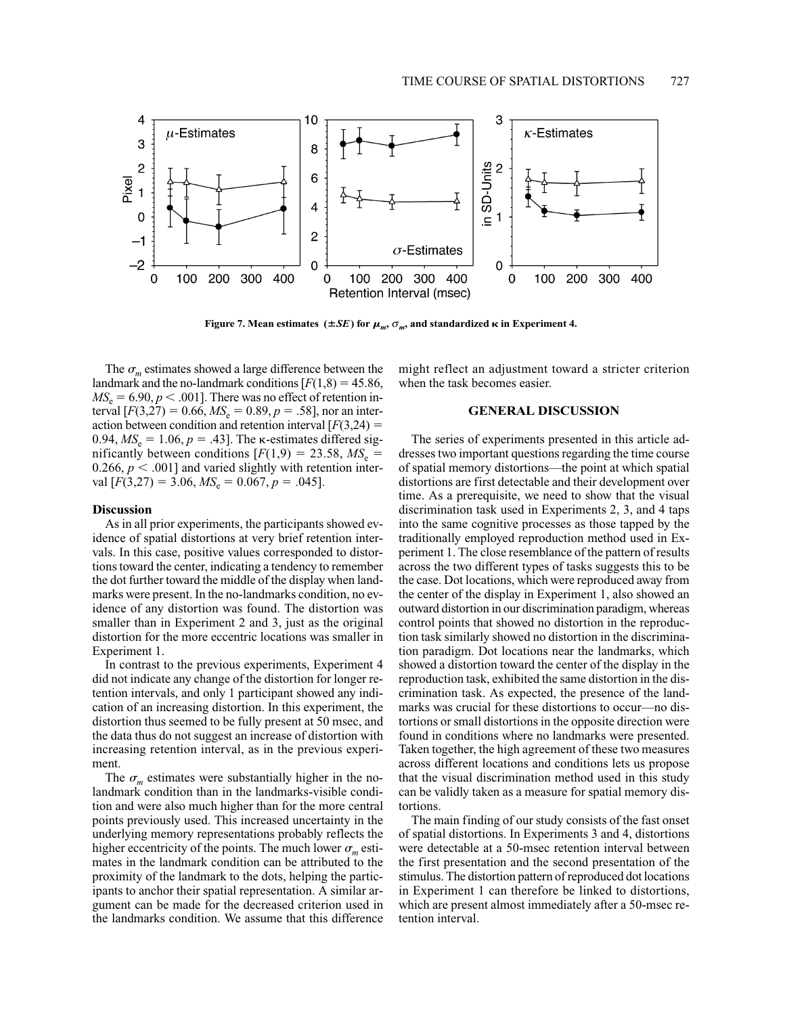

**Figure 7. Mean estimates** ( $\pm SE$ ) for  $\mu_m$ ,  $\sigma_m$ , and standardized  $\kappa$  in Experiment 4.

The  $\sigma_m$  estimates showed a large difference between the landmark and the no-landmark conditions  $[F(1,8) = 45.86]$ ,  $MS_e = 6.90, p < .001$ . There was no effect of retention interval  $[F(3,27) = 0.66, MS_e = 0.89, p = .58]$ , nor an interaction between condition and retention interval  $[F(3,24) =$ 0.94,  $MS_e = 1.06$ ,  $p = .43$ . The  $\kappa$ -estimates differed significantly between conditions  $[F(1,9) = 23.58, MS_e]$ 0.266,  $p < .001$ ] and varied slightly with retention interval  $[F(3,27) = 3.06, MS_e = 0.067, p = .045]$ .

#### **Discussion**

As in all prior experiments, the participants showed evidence of spatial distortions at very brief retention intervals. In this case, positive values corresponded to distortions toward the center, indicating a tendency to remember the dot further toward the middle of the display when landmarks were present. In the no-landmarks condition, no evidence of any distortion was found. The distortion was smaller than in Experiment 2 and 3, just as the original distortion for the more eccentric locations was smaller in Experiment 1.

In contrast to the previous experiments, Experiment 4 did not indicate any change of the distortion for longer retention intervals, and only 1 participant showed any indication of an increasing distortion. In this experiment, the distortion thus seemed to be fully present at 50 msec, and the data thus do not suggest an increase of distortion with increasing retention interval, as in the previous experiment.

The  $\sigma_m$  estimates were substantially higher in the nolandmark condition than in the landmarks-visible condition and were also much higher than for the more central points previously used. This increased uncertainty in the underlying memory representations probably reflects the higher eccentricity of the points. The much lower  $\sigma_m$  estimates in the landmark condition can be attributed to the proximity of the landmark to the dots, helping the participants to anchor their spatial representation. A similar argument can be made for the decreased criterion used in the landmarks condition. We assume that this difference might reflect an adjustment toward a stricter criterion when the task becomes easier.

# **GENERAL DISCUSSION**

The series of experiments presented in this article addresses two important questions regarding the time course of spatial memory distortions—the point at which spatial distortions are first detectable and their development over time. As a prerequisite, we need to show that the visual discrimination task used in Experiments 2, 3, and 4 taps into the same cognitive processes as those tapped by the traditionally employed reproduction method used in Experiment 1. The close resemblance of the pattern of results across the two different types of tasks suggests this to be the case. Dot locations, which were reproduced away from the center of the display in Experiment 1, also showed an outward distortion in our discrimination paradigm, whereas control points that showed no distortion in the reproduction task similarly showed no distortion in the discrimination paradigm. Dot locations near the landmarks, which showed a distortion toward the center of the display in the reproduction task, exhibited the same distortion in the discrimination task. As expected, the presence of the landmarks was crucial for these distortions to occur—no distortions or small distortions in the opposite direction were found in conditions where no landmarks were presented. Taken together, the high agreement of these two measures across different locations and conditions lets us propose that the visual discrimination method used in this study can be validly taken as a measure for spatial memory distortions.

The main finding of our study consists of the fast onset of spatial distortions. In Experiments 3 and 4, distortions were detectable at a 50-msec retention interval between the first presentation and the second presentation of the stimulus. The distortion pattern of reproduced dot locations in Experiment 1 can therefore be linked to distortions, which are present almost immediately after a 50-msec retention interval.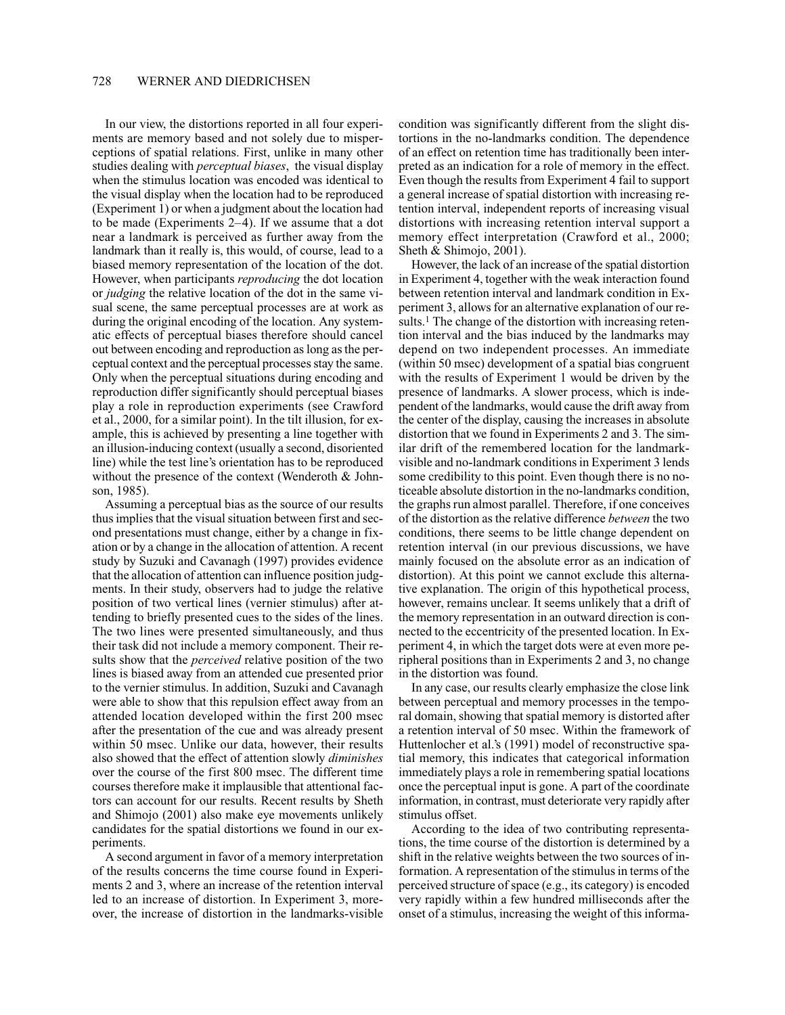# 728 WERNER AND DIEDRICHSEN

In our view, the distortions reported in all four experiments are memory based and not solely due to misperceptions of spatial relations. First, unlike in many other studies dealing with *perceptual biases*, the visual display when the stimulus location was encoded was identical to the visual display when the location had to be reproduced (Experiment 1) or when a judgment about the location had to be made (Experiments 2–4). If we assume that a dot near a landmark is perceived as further away from the landmark than it really is, this would, of course, lead to a biased memory representation of the location of the dot. However, when participants *reproducing* the dot location or *judging* the relative location of the dot in the same visual scene, the same perceptual processes are at work as during the original encoding of the location. Any systematic effects of perceptual biases therefore should cancel out between encoding and reproduction as long as the perceptual context and the perceptual processes stay the same. Only when the perceptual situations during encoding and reproduction differ significantly should perceptual biases play a role in reproduction experiments (see Crawford et al., 2000, for a similar point). In the tilt illusion, for example, this is achieved by presenting a line together with an illusion-inducing context (usually a second, disoriented line) while the test line's orientation has to be reproduced without the presence of the context (Wenderoth & Johnson, 1985).

Assuming a perceptual bias as the source of our results thus implies that the visual situation between first and second presentations must change, either by a change in fixation or by a change in the allocation of attention. A recent study by Suzuki and Cavanagh (1997) provides evidence that the allocation of attention can influence position judgments. In their study, observers had to judge the relative position of two vertical lines (vernier stimulus) after attending to briefly presented cues to the sides of the lines. The two lines were presented simultaneously, and thus their task did not include a memory component. Their results show that the *perceived* relative position of the two lines is biased away from an attended cue presented prior to the vernier stimulus. In addition, Suzuki and Cavanagh were able to show that this repulsion effect away from an attended location developed within the first 200 msec after the presentation of the cue and was already present within 50 msec. Unlike our data, however, their results also showed that the effect of attention slowly *diminishes* over the course of the first 800 msec. The different time courses therefore make it implausible that attentional factors can account for our results. Recent results by Sheth and Shimojo (2001) also make eye movements unlikely candidates for the spatial distortions we found in our experiments.

A second argument in favor of a memory interpretation of the results concerns the time course found in Experiments 2 and 3, where an increase of the retention interval led to an increase of distortion. In Experiment 3, moreover, the increase of distortion in the landmarks-visible

condition was significantly different from the slight distortions in the no-landmarks condition. The dependence of an effect on retention time has traditionally been interpreted as an indication for a role of memory in the effect. Even though the results from Experiment 4 fail to support a general increase of spatial distortion with increasing retention interval, independent reports of increasing visual distortions with increasing retention interval support a memory effect interpretation (Crawford et al., 2000; Sheth & Shimojo, 2001).

However, the lack of an increase of the spatial distortion in Experiment 4, together with the weak interaction found between retention interval and landmark condition in Experiment 3, allows for an alternative explanation of our results.<sup>1</sup> The change of the distortion with increasing retention interval and the bias induced by the landmarks may depend on two independent processes. An immediate (within 50 msec) development of a spatial bias congruent with the results of Experiment 1 would be driven by the presence of landmarks. A slower process, which is independent of the landmarks, would cause the drift away from the center of the display, causing the increases in absolute distortion that we found in Experiments 2 and 3. The similar drift of the remembered location for the landmarkvisible and no-landmark conditions in Experiment 3 lends some credibility to this point. Even though there is no noticeable absolute distortion in the no-landmarks condition, the graphs run almost parallel. Therefore, if one conceives of the distortion as the relative difference *between* the two conditions, there seems to be little change dependent on retention interval (in our previous discussions, we have mainly focused on the absolute error as an indication of distortion). At this point we cannot exclude this alternative explanation. The origin of this hypothetical process, however, remains unclear. It seems unlikely that a drift of the memory representation in an outward direction is connected to the eccentricity of the presented location. In Experiment 4, in which the target dots were at even more peripheral positions than in Experiments 2 and 3, no change in the distortion was found.

In any case, our results clearly emphasize the close link between perceptual and memory processes in the temporal domain, showing that spatial memory is distorted after a retention interval of 50 msec. Within the framework of Huttenlocher et al.'s (1991) model of reconstructive spatial memory, this indicates that categorical information immediately plays a role in remembering spatial locations once the perceptual input is gone. A part of the coordinate information, in contrast, must deteriorate very rapidly after stimulus offset.

According to the idea of two contributing representations, the time course of the distortion is determined by a shift in the relative weights between the two sources of information. A representation of the stimulus in terms of the perceived structure of space (e.g., its category) is encoded very rapidly within a few hundred milliseconds after the onset of a stimulus, increasing the weight of this informa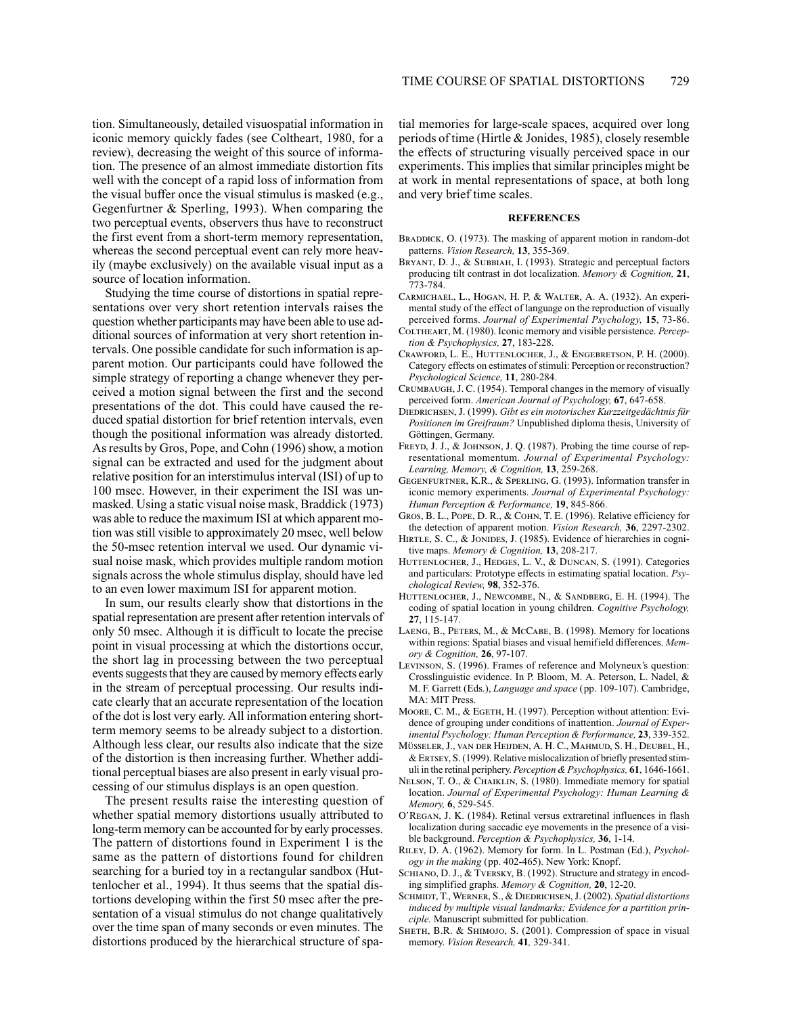tion. Simultaneously, detailed visuospatial information in iconic memory quickly fades (see Coltheart, 1980, for a review), decreasing the weight of this source of information. The presence of an almost immediate distortion fits well with the concept of a rapid loss of information from the visual buffer once the visual stimulus is masked (e.g., Gegenfurtner & Sperling, 1993). When comparing the two perceptual events, observers thus have to reconstruct the first event from a short-term memory representation, whereas the second perceptual event can rely more heavily (maybe exclusively) on the available visual input as a source of location information.

Studying the time course of distortions in spatial representations over very short retention intervals raises the question whether participants may have been able to use additional sources of information at very short retention intervals. One possible candidate for such information is apparent motion. Our participants could have followed the simple strategy of reporting a change whenever they perceived a motion signal between the first and the second presentations of the dot. This could have caused the reduced spatial distortion for brief retention intervals, even though the positional information was already distorted. As results by Gros, Pope, and Cohn (1996) show, a motion signal can be extracted and used for the judgment about relative position for an interstimulus interval (ISI) of up to 100 msec. However, in their experiment the ISI was unmasked. Using a static visual noise mask, Braddick (1973) was able to reduce the maximum ISI at which apparent motion was still visible to approximately 20 msec, well below the 50-msec retention interval we used. Our dynamic visual noise mask, which provides multiple random motion signals across the whole stimulus display, should have led to an even lower maximum ISI for apparent motion.

In sum, our results clearly show that distortions in the spatial representation are present after retention intervals of only 50 msec. Although it is difficult to locate the precise point in visual processing at which the distortions occur, the short lag in processing between the two perceptual events suggests that they are caused by memory effects early in the stream of perceptual processing. Our results indicate clearly that an accurate representation of the location of the dot is lost very early. All information entering shortterm memory seems to be already subject to a distortion. Although less clear, our results also indicate that the size of the distortion is then increasing further. Whether additional perceptual biases are also present in early visual processing of our stimulus displays is an open question.

The present results raise the interesting question of whether spatial memory distortions usually attributed to long-term memory can be accounted for by early processes. The pattern of distortions found in Experiment 1 is the same as the pattern of distortions found for children searching for a buried toy in a rectangular sandbox (Huttenlocher et al., 1994). It thus seems that the spatial distortions developing within the first 50 msec after the presentation of a visual stimulus do not change qualitatively over the time span of many seconds or even minutes. The distortions produced by the hierarchical structure of spa-

tial memories for large-scale spaces, acquired over long periods of time (Hirtle & Jonides, 1985), closely resemble the effects of structuring visually perceived space in our experiments. This implies that similar principles might be at work in mental representations of space, at both long and very brief time scales.

#### **REFERENCES**

- BRADDICK, O. (1973). The masking of apparent motion in random-dot patterns. *Vision Research,* **13**, 355-369.
- BRYANT, D. J., & SUBBIAH, I. (1993). Strategic and perceptual factors producing tilt contrast in dot localization. *Memory & Cognition,* **21**, 773-784.
- Carmichael, L., Hogan, H. P, & Walter, A. A. (1932). An experimental study of the effect of language on the reproduction of visually perceived forms. *Journal of Experimental Psychology,* **15**, 73-86.
- Coltheart, M. (1980). Iconic memory and visible persistence. *Perception & Psychophysics,* **27**, 183-228.
- Crawford, L. E., Huttenlocher, J., & Engebretson, P. H. (2000). Category effects on estimates of stimuli: Perception or reconstruction? *Psychological Science,* **11**, 280-284.
- Crumbaugh, J. C. (1954). Temporal changes in the memory of visually perceived form. *American Journal of Psychology,* **67**, 647-658.
- Diedrichsen, J. (1999). *Gibt es ein motorisches Kurzzeitgedächtnis für Positionen im Greifraum?* Unpublished diploma thesis, University of Göttingen, Germany.
- FREYD, J. J., & JOHNSON, J. Q. (1987). Probing the time course of representational momentum. *Journal of Experimental Psychology: Learning, Memory, & Cognition,* **13**, 259-268.
- Gegenfurtner, K.R., & Sperling, G. (1993). Information transfer in iconic memory experiments. *Journal of Experimental Psychology: Human Perception & Performance,* **19**, 845-866.
- Gros, B. L., Pope, D. R., & Cohn, T. E. (1996). Relative efficiency for the detection of apparent motion. *Vision Research,* **36**, 2297-2302.
- HIRTLE, S. C., & JONIDES, J. (1985). Evidence of hierarchies in cognitive maps. *Memory & Cognition,* **13**, 208-217.
- HUTTENLOCHER, J., HEDGES, L. V., & DUNCAN, S. (1991). Categories and particulars: Prototype effects in estimating spatial location. *Psychological Review,* **98**, 352-376.
- Huttenlocher, J., Newcombe, N., & Sandberg, E. H. (1994). The coding of spatial location in young children. *Cognitive Psychology,* **27**, 115-147.
- LAENG, B., PETERS, M., & McCABE, B. (1998). Memory for locations within regions: Spatial biases and visual hemifield differences. *Memory & Cognition,* **26**, 97-107.
- Levinson, S. (1996). Frames of reference and Molyneux's question: Crosslinguistic evidence. In P. Bloom, M. A. Peterson, L. Nadel, & M. F. Garrett (Eds.), *Language and space* (pp. 109-107). Cambridge, MA: MIT Press.
- MOORE, C. M., & EGETH, H. (1997). Perception without attention: Evidence of grouping under conditions of inattention. *Journal of Experimental Psychology: Human Perception & Performance,* **23**, 339-352.
- Müsseler, J., van der Heijden, A. H. C., Mahmud, S. H., Deubel, H., & Ertsey, S.(1999). Relative mislocalization of briefly presented stimuli in the retinal periphery. *Perception & Psychophysics,* **61**, 1646-1661.
- NELSON, T. O., & CHAIKLIN, S. (1980). Immediate memory for spatial location. *Journal of Experimental Psychology: Human Learning & Memory,* **6**, 529-545.
- O'Regan, J. K. (1984). Retinal versus extraretinal influences in flash localization during saccadic eye movements in the presence of a visible background. *Perception & Psychophysics,* **36**, 1-14.
- Riley, D. A. (1962). Memory for form. In L. Postman (Ed.), *Psychology in the making* (pp. 402-465). New York: Knopf.
- SCHIANO, D. J., & TVERSKY, B. (1992). Structure and strategy in encoding simplified graphs. *Memory & Cognition,* **20**, 12-20.
- SCHMIDT, T., WERNER, S., & DIEDRICHSEN, J. (2002). *Spatial distortions induced by multiple visual landmarks: Evidence for a partition principle.* Manuscript submitted for publication.
- SHETH, B.R. & SHIMOJO, S. (2001). Compression of space in visual memory. *Vision Research,* **41***,* 329-341.